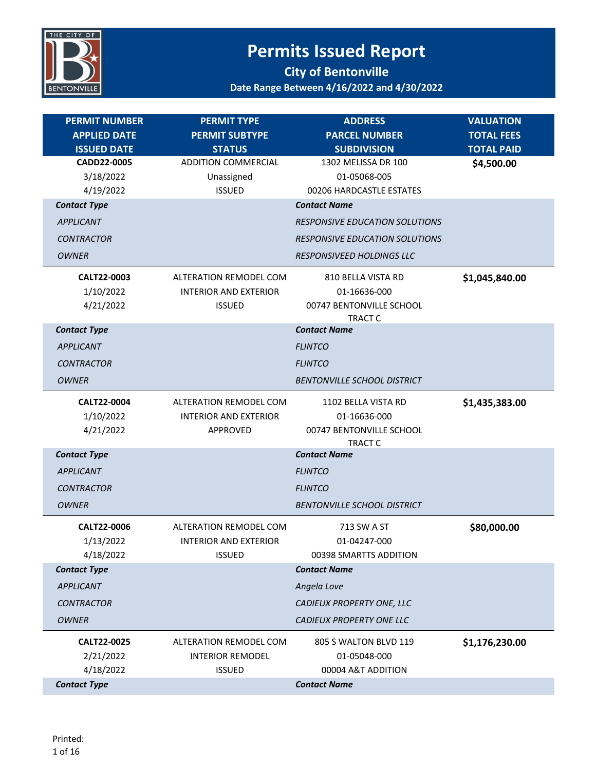

| <b>PERMIT NUMBER</b>                                         | <b>PERMIT TYPE</b>                                                        | <b>ADDRESS</b><br><b>PARCEL NUMBER</b>                                                                | <b>VALUATION</b>                       |
|--------------------------------------------------------------|---------------------------------------------------------------------------|-------------------------------------------------------------------------------------------------------|----------------------------------------|
| <b>APPLIED DATE</b><br><b>ISSUED DATE</b>                    | <b>PERMIT SUBTYPE</b><br><b>STATUS</b>                                    | <b>SUBDIVISION</b>                                                                                    | <b>TOTAL FEES</b><br><b>TOTAL PAID</b> |
| CADD22-0005<br>3/18/2022<br>4/19/2022                        | <b>ADDITION COMMERCIAL</b><br>Unassigned<br><b>ISSUED</b>                 | 1302 MELISSA DR 100<br>01-05068-005<br>00206 HARDCASTLE ESTATES                                       | \$4,500.00                             |
| <b>Contact Type</b><br><b>APPLICANT</b><br><b>CONTRACTOR</b> |                                                                           | <b>Contact Name</b><br><b>RESPONSIVE EDUCATION SOLUTIONS</b><br><b>RESPONSIVE EDUCATION SOLUTIONS</b> |                                        |
| <b>OWNER</b>                                                 |                                                                           | RESPONSIVEED HOLDINGS LLC                                                                             |                                        |
| CALT22-0003<br>1/10/2022<br>4/21/2022                        | ALTERATION REMODEL COM<br><b>INTERIOR AND EXTERIOR</b><br><b>ISSUED</b>   | 810 BELLA VISTA RD<br>01-16636-000<br>00747 BENTONVILLE SCHOOL<br>TRACT C                             | \$1,045,840.00                         |
| <b>Contact Type</b>                                          |                                                                           | <b>Contact Name</b>                                                                                   |                                        |
| <b>APPLICANT</b>                                             |                                                                           | <b>FLINTCO</b>                                                                                        |                                        |
| <b>CONTRACTOR</b>                                            |                                                                           | <b>FLINTCO</b>                                                                                        |                                        |
| <b>OWNER</b>                                                 |                                                                           | <b>BENTONVILLE SCHOOL DISTRICT</b>                                                                    |                                        |
| CALT22-0004<br>1/10/2022<br>4/21/2022                        | <b>ALTERATION REMODEL COM</b><br><b>INTERIOR AND EXTERIOR</b><br>APPROVED | 1102 BELLA VISTA RD<br>01-16636-000<br>00747 BENTONVILLE SCHOOL<br>TRACT C                            | \$1,435,383.00                         |
| <b>Contact Type</b>                                          |                                                                           | <b>Contact Name</b>                                                                                   |                                        |
| <b>APPLICANT</b>                                             |                                                                           | <b>FLINTCO</b>                                                                                        |                                        |
| <b>CONTRACTOR</b>                                            |                                                                           | <b>FLINTCO</b>                                                                                        |                                        |
| <b>OWNER</b>                                                 |                                                                           | <b>BENTONVILLE SCHOOL DISTRICT</b>                                                                    |                                        |
| CALT22-0006<br>1/13/2022<br>4/18/2022                        | ALTERATION REMODEL COM<br><b>INTERIOR AND EXTERIOR</b><br><b>ISSUED</b>   | 713 SW A ST<br>01-04247-000<br>00398 SMARTTS ADDITION                                                 | \$80,000.00                            |
| <b>Contact Type</b>                                          |                                                                           | <b>Contact Name</b>                                                                                   |                                        |
| <b>APPLICANT</b>                                             |                                                                           | Angela Love                                                                                           |                                        |
| <b>CONTRACTOR</b>                                            |                                                                           | CADIEUX PROPERTY ONE, LLC                                                                             |                                        |
| <b>OWNER</b>                                                 |                                                                           | CADIEUX PROPERTY ONE LLC                                                                              |                                        |
| CALT22-0025<br>2/21/2022                                     | ALTERATION REMODEL COM<br><b>INTERIOR REMODEL</b>                         | 805 S WALTON BLVD 119<br>01-05048-000                                                                 | \$1,176,230.00                         |
| 4/18/2022                                                    | <b>ISSUED</b>                                                             | 00004 A&T ADDITION                                                                                    |                                        |
| <b>Contact Type</b>                                          |                                                                           | <b>Contact Name</b>                                                                                   |                                        |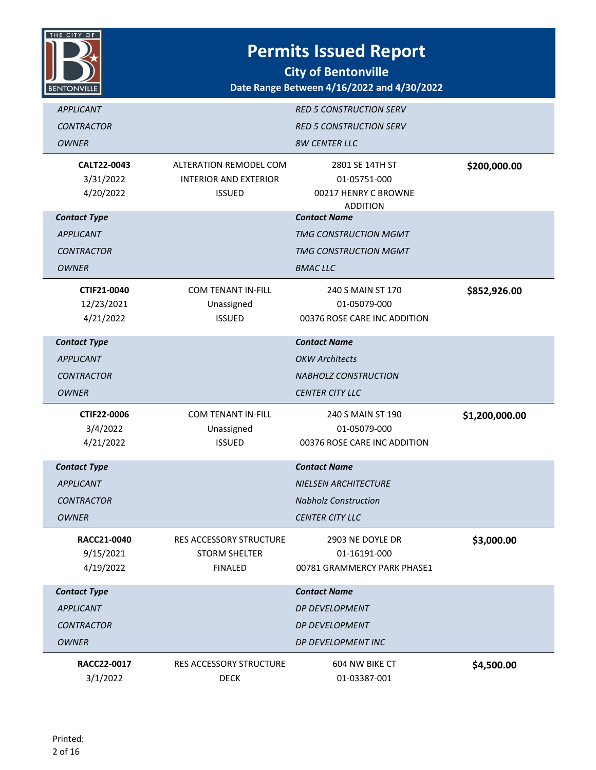

| <b>APPLICANT</b><br><b>CONTRACTOR</b><br><b>OWNER</b>                        |                                                                         | <b>RED 5 CONSTRUCTION SERV</b><br><b>RED 5 CONSTRUCTION SERV</b><br><b>8W CENTER LLC</b>                    |                |
|------------------------------------------------------------------------------|-------------------------------------------------------------------------|-------------------------------------------------------------------------------------------------------------|----------------|
| CALT22-0043<br>3/31/2022<br>4/20/2022                                        | ALTERATION REMODEL COM<br><b>INTERIOR AND EXTERIOR</b><br><b>ISSUED</b> | 2801 SE 14TH ST<br>01-05751-000<br>00217 HENRY C BROWNE<br><b>ADDITION</b>                                  | \$200,000.00   |
| <b>Contact Type</b><br><b>APPLICANT</b><br><b>CONTRACTOR</b><br><b>OWNER</b> |                                                                         | <b>Contact Name</b><br><b>TMG CONSTRUCTION MGMT</b><br><b>TMG CONSTRUCTION MGMT</b><br><b>BMACLLC</b>       |                |
| CTIF21-0040<br>12/23/2021<br>4/21/2022                                       | <b>COM TENANT IN-FILL</b><br>Unassigned<br><b>ISSUED</b>                | 240 S MAIN ST 170<br>01-05079-000<br>00376 ROSE CARE INC ADDITION                                           | \$852,926.00   |
| <b>Contact Type</b><br><b>APPLICANT</b><br><b>CONTRACTOR</b><br><b>OWNER</b> |                                                                         | <b>Contact Name</b><br><b>OKW Architects</b><br><b>NABHOLZ CONSTRUCTION</b><br><b>CENTER CITY LLC</b>       |                |
| CTIF22-0006<br>3/4/2022<br>4/21/2022                                         | <b>COM TENANT IN-FILL</b><br>Unassigned<br><b>ISSUED</b>                | 240 S MAIN ST 190<br>01-05079-000<br>00376 ROSE CARE INC ADDITION                                           | \$1,200,000.00 |
| <b>Contact Type</b><br><b>APPLICANT</b><br><b>CONTRACTOR</b><br><b>OWNER</b> |                                                                         | <b>Contact Name</b><br><b>NIELSEN ARCHITECTURE</b><br><b>Nabholz Construction</b><br><b>CENTER CITY LLC</b> |                |
| RACC21-0040<br>9/15/2021<br>4/19/2022                                        | RES ACCESSORY STRUCTURE<br><b>STORM SHELTER</b><br><b>FINALED</b>       | 2903 NE DOYLE DR<br>01-16191-000<br>00781 GRAMMERCY PARK PHASE1                                             | \$3,000.00     |
| <b>Contact Type</b><br><b>APPLICANT</b><br><b>CONTRACTOR</b><br><b>OWNER</b> |                                                                         | <b>Contact Name</b><br>DP DEVELOPMENT<br><b>DP DEVELOPMENT</b><br>DP DEVELOPMENT INC                        |                |
| RACC22-0017<br>3/1/2022                                                      | RES ACCESSORY STRUCTURE<br><b>DECK</b>                                  | 604 NW BIKE CT<br>01-03387-001                                                                              | \$4,500.00     |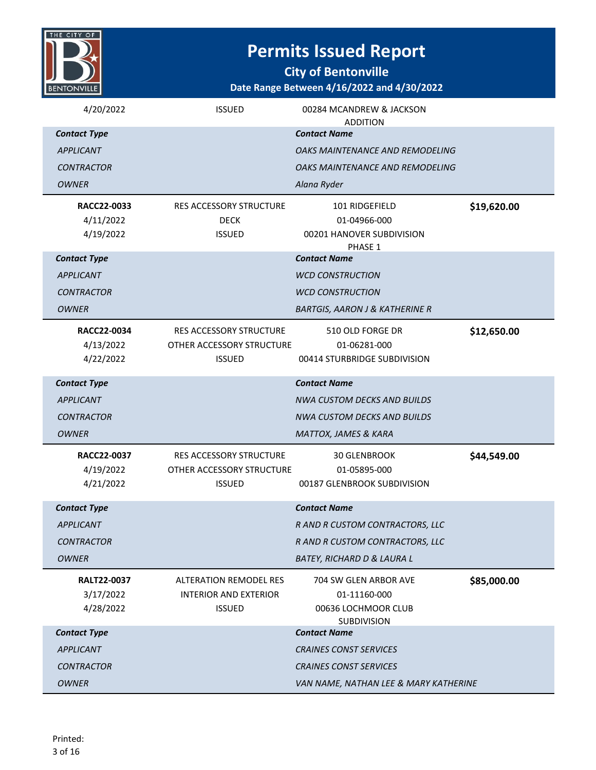| 'HE CIT<br>ОF      |
|--------------------|
|                    |
|                    |
|                    |
|                    |
| <b>BENTONVILLE</b> |
|                    |

**City of Bentonville**

| 4/20/2022           | <b>ISSUED</b>                  | 00284 MCANDREW & JACKSON<br><b>ADDITION</b> |             |
|---------------------|--------------------------------|---------------------------------------------|-------------|
| <b>Contact Type</b> |                                | <b>Contact Name</b>                         |             |
| <b>APPLICANT</b>    |                                | OAKS MAINTENANCE AND REMODELING             |             |
| <b>CONTRACTOR</b>   |                                | OAKS MAINTENANCE AND REMODELING             |             |
| <b>OWNER</b>        |                                | Alana Ryder                                 |             |
| RACC22-0033         | RES ACCESSORY STRUCTURE        | 101 RIDGEFIELD                              | \$19,620.00 |
| 4/11/2022           | <b>DECK</b>                    | 01-04966-000                                |             |
| 4/19/2022           | <b>ISSUED</b>                  | 00201 HANOVER SUBDIVISION<br>PHASE 1        |             |
| <b>Contact Type</b> |                                | <b>Contact Name</b>                         |             |
| <b>APPLICANT</b>    |                                | <b>WCD CONSTRUCTION</b>                     |             |
| <b>CONTRACTOR</b>   |                                | <b>WCD CONSTRUCTION</b>                     |             |
| <b>OWNER</b>        |                                | <b>BARTGIS, AARON J &amp; KATHERINE R</b>   |             |
| RACC22-0034         | <b>RES ACCESSORY STRUCTURE</b> | 510 OLD FORGE DR                            | \$12,650.00 |
| 4/13/2022           | OTHER ACCESSORY STRUCTURE      | 01-06281-000                                |             |
| 4/22/2022           | <b>ISSUED</b>                  | 00414 STURBRIDGE SUBDIVISION                |             |
| <b>Contact Type</b> |                                | <b>Contact Name</b>                         |             |
| <b>APPLICANT</b>    |                                | <b>NWA CUSTOM DECKS AND BUILDS</b>          |             |
|                     |                                |                                             |             |
| <b>CONTRACTOR</b>   |                                | <b>NWA CUSTOM DECKS AND BUILDS</b>          |             |
| <b>OWNER</b>        |                                | <b>MATTOX, JAMES &amp; KARA</b>             |             |
| RACC22-0037         | <b>RES ACCESSORY STRUCTURE</b> | <b>30 GLENBROOK</b>                         | \$44,549.00 |
| 4/19/2022           | OTHER ACCESSORY STRUCTURE      | 01-05895-000                                |             |
| 4/21/2022           | <b>ISSUED</b>                  | 00187 GLENBROOK SUBDIVISION                 |             |
| <b>Contact Type</b> |                                | <b>Contact Name</b>                         |             |
| <b>APPLICANT</b>    |                                | R AND R CUSTOM CONTRACTORS, LLC             |             |
| <b>CONTRACTOR</b>   |                                | R AND R CUSTOM CONTRACTORS, LLC             |             |
| <b>OWNER</b>        |                                | <b>BATEY, RICHARD D &amp; LAURA L</b>       |             |
| <b>RALT22-0037</b>  | <b>ALTERATION REMODEL RES</b>  | 704 SW GLEN ARBOR AVE                       | \$85,000.00 |
| 3/17/2022           | <b>INTERIOR AND EXTERIOR</b>   | 01-11160-000                                |             |
| 4/28/2022           | <b>ISSUED</b>                  | 00636 LOCHMOOR CLUB                         |             |
| <b>Contact Type</b> |                                | <b>SUBDIVISION</b><br><b>Contact Name</b>   |             |
| <b>APPLICANT</b>    |                                | <b>CRAINES CONST SERVICES</b>               |             |
| <b>CONTRACTOR</b>   |                                | <b>CRAINES CONST SERVICES</b>               |             |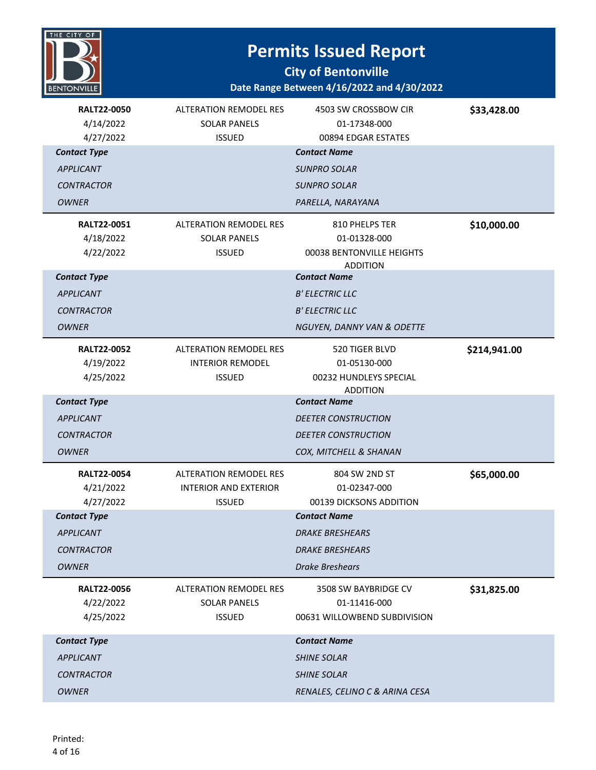

| <b>RALT22-0050</b><br>4/14/2022<br>4/27/2022 | <b>ALTERATION REMODEL RES</b><br><b>SOLAR PANELS</b><br><b>ISSUED</b> | 4503 SW CROSSBOW CIR<br>01-17348-000<br>00894 EDGAR ESTATES | \$33,428.00  |
|----------------------------------------------|-----------------------------------------------------------------------|-------------------------------------------------------------|--------------|
| <b>Contact Type</b>                          |                                                                       | <b>Contact Name</b>                                         |              |
| <b>APPLICANT</b>                             |                                                                       | <b>SUNPRO SOLAR</b>                                         |              |
| <b>CONTRACTOR</b>                            |                                                                       | <b>SUNPRO SOLAR</b>                                         |              |
| <b>OWNER</b>                                 |                                                                       | PARELLA, NARAYANA                                           |              |
| <b>RALT22-0051</b>                           | <b>ALTERATION REMODEL RES</b>                                         | 810 PHELPS TER                                              | \$10,000.00  |
| 4/18/2022                                    | <b>SOLAR PANELS</b>                                                   | 01-01328-000                                                |              |
| 4/22/2022                                    | <b>ISSUED</b>                                                         | 00038 BENTONVILLE HEIGHTS<br><b>ADDITION</b>                |              |
| <b>Contact Type</b>                          |                                                                       | <b>Contact Name</b>                                         |              |
| <b>APPLICANT</b>                             |                                                                       | <b>B' ELECTRIC LLC</b>                                      |              |
| <b>CONTRACTOR</b>                            |                                                                       | <b>B' ELECTRIC LLC</b>                                      |              |
| <b>OWNER</b>                                 |                                                                       | NGUYEN, DANNY VAN & ODETTE                                  |              |
| <b>RALT22-0052</b>                           | <b>ALTERATION REMODEL RES</b>                                         | 520 TIGER BLVD                                              | \$214,941.00 |
| 4/19/2022                                    | <b>INTERIOR REMODEL</b>                                               | 01-05130-000                                                |              |
| 4/25/2022                                    | <b>ISSUED</b>                                                         | 00232 HUNDLEYS SPECIAL                                      |              |
| <b>Contact Type</b>                          |                                                                       | <b>ADDITION</b><br><b>Contact Name</b>                      |              |
| <b>APPLICANT</b>                             |                                                                       | <b>DEETER CONSTRUCTION</b>                                  |              |
| <b>CONTRACTOR</b>                            |                                                                       | <b>DEETER CONSTRUCTION</b>                                  |              |
| <b>OWNER</b>                                 |                                                                       | COX, MITCHELL & SHANAN                                      |              |
| <b>RALT22-0054</b>                           | ALTERATION REMODEL RES                                                | 804 SW 2ND ST                                               | \$65,000.00  |
| 4/21/2022                                    | <b>INTERIOR AND EXTERIOR</b>                                          | 01-02347-000                                                |              |
| 4/27/2022                                    | <b>ISSUED</b>                                                         | 00139 DICKSONS ADDITION                                     |              |
| <b>Contact Type</b>                          |                                                                       | <b>Contact Name</b>                                         |              |
| <b>APPLICANT</b>                             |                                                                       | <b>DRAKE BRESHEARS</b>                                      |              |
| <b>CONTRACTOR</b>                            |                                                                       | <b>DRAKE BRESHEARS</b>                                      |              |
| <b>OWNER</b>                                 |                                                                       | <b>Drake Breshears</b>                                      |              |
| <b>RALT22-0056</b>                           | <b>ALTERATION REMODEL RES</b>                                         | 3508 SW BAYBRIDGE CV                                        | \$31,825.00  |
| 4/22/2022                                    | <b>SOLAR PANELS</b>                                                   | 01-11416-000                                                |              |
| 4/25/2022                                    | <b>ISSUED</b>                                                         | 00631 WILLOWBEND SUBDIVISION                                |              |
| <b>Contact Type</b>                          |                                                                       | <b>Contact Name</b>                                         |              |
| <b>APPLICANT</b>                             |                                                                       | <b>SHINE SOLAR</b>                                          |              |
| <b>CONTRACTOR</b>                            |                                                                       | <b>SHINE SOLAR</b>                                          |              |
| <b>OWNER</b>                                 |                                                                       | RENALES, CELINO C & ARINA CESA                              |              |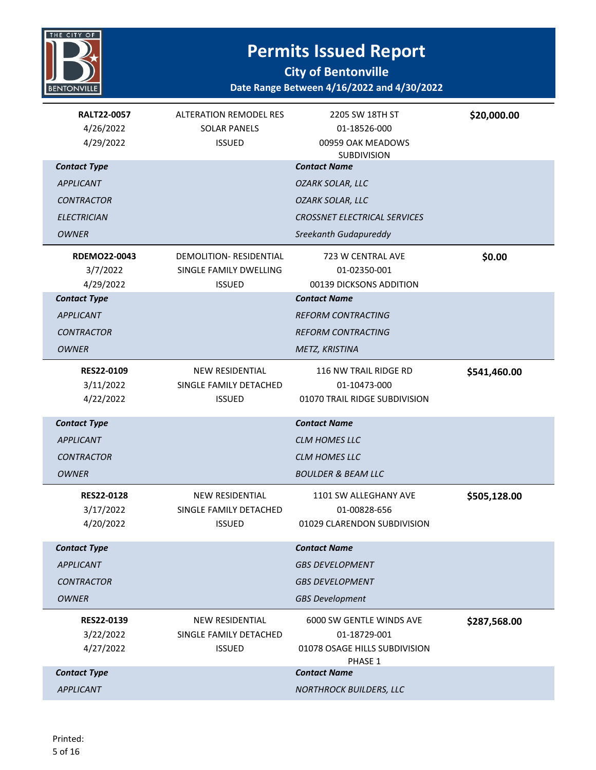

**City of Bentonville**

| <b>RALT22-0057</b><br>4/26/2022<br>4/29/2022 | <b>ALTERATION REMODEL RES</b><br><b>SOLAR PANELS</b><br><b>ISSUED</b> | 2205 SW 18TH ST<br>01-18526-000<br>00959 OAK MEADOWS<br>SUBDIVISION                  | \$20,000.00  |
|----------------------------------------------|-----------------------------------------------------------------------|--------------------------------------------------------------------------------------|--------------|
| <b>Contact Type</b>                          |                                                                       | <b>Contact Name</b>                                                                  |              |
| <b>APPLICANT</b>                             |                                                                       | OZARK SOLAR, LLC                                                                     |              |
| <b>CONTRACTOR</b>                            |                                                                       | <b>OZARK SOLAR, LLC</b>                                                              |              |
| <b>ELECTRICIAN</b>                           |                                                                       | <b>CROSSNET ELECTRICAL SERVICES</b>                                                  |              |
| <b>OWNER</b>                                 |                                                                       | Sreekanth Gudapureddy                                                                |              |
| <b>RDEMO22-0043</b><br>3/7/2022<br>4/29/2022 | DEMOLITION-RESIDENTIAL<br>SINGLE FAMILY DWELLING<br><b>ISSUED</b>     | 723 W CENTRAL AVE<br>01-02350-001<br>00139 DICKSONS ADDITION                         | \$0.00       |
| <b>Contact Type</b>                          |                                                                       | <b>Contact Name</b>                                                                  |              |
| <b>APPLICANT</b>                             |                                                                       | <b>REFORM CONTRACTING</b>                                                            |              |
| <b>CONTRACTOR</b>                            |                                                                       | <b>REFORM CONTRACTING</b>                                                            |              |
| <b>OWNER</b>                                 |                                                                       | METZ, KRISTINA                                                                       |              |
| RES22-0109<br>3/11/2022<br>4/22/2022         | NEW RESIDENTIAL<br>SINGLE FAMILY DETACHED<br><b>ISSUED</b>            | 116 NW TRAIL RIDGE RD<br>01-10473-000<br>01070 TRAIL RIDGE SUBDIVISION               | \$541,460.00 |
| <b>Contact Type</b>                          |                                                                       | <b>Contact Name</b>                                                                  |              |
| <b>APPLICANT</b>                             |                                                                       | <b>CLM HOMES LLC</b>                                                                 |              |
| <b>CONTRACTOR</b>                            |                                                                       | <b>CLM HOMES LLC</b>                                                                 |              |
| <b>OWNER</b>                                 |                                                                       | <b>BOULDER &amp; BEAM LLC</b>                                                        |              |
| <b>RES22-0128</b><br>3/17/2022<br>4/20/2022  | <b>NEW RESIDENTIAL</b><br>SINGLE FAMILY DETACHED<br><b>ISSUED</b>     | 1101 SW ALLEGHANY AVE<br>01-00828-656<br>01029 CLARENDON SUBDIVISION                 | \$505,128.00 |
| <b>Contact Type</b>                          |                                                                       | <b>Contact Name</b>                                                                  |              |
| <b>APPLICANT</b>                             |                                                                       | <b>GBS DEVELOPMENT</b>                                                               |              |
| <b>CONTRACTOR</b>                            |                                                                       | <b>GBS DEVELOPMENT</b>                                                               |              |
| <b>OWNER</b>                                 |                                                                       | <b>GBS Development</b>                                                               |              |
| RES22-0139<br>3/22/2022<br>4/27/2022         | NEW RESIDENTIAL<br>SINGLE FAMILY DETACHED<br><b>ISSUED</b>            | 6000 SW GENTLE WINDS AVE<br>01-18729-001<br>01078 OSAGE HILLS SUBDIVISION<br>PHASE 1 | \$287,568.00 |
| <b>Contact Type</b>                          |                                                                       | <b>Contact Name</b>                                                                  |              |
| <b>APPLICANT</b>                             |                                                                       | <b>NORTHROCK BUILDERS, LLC</b>                                                       |              |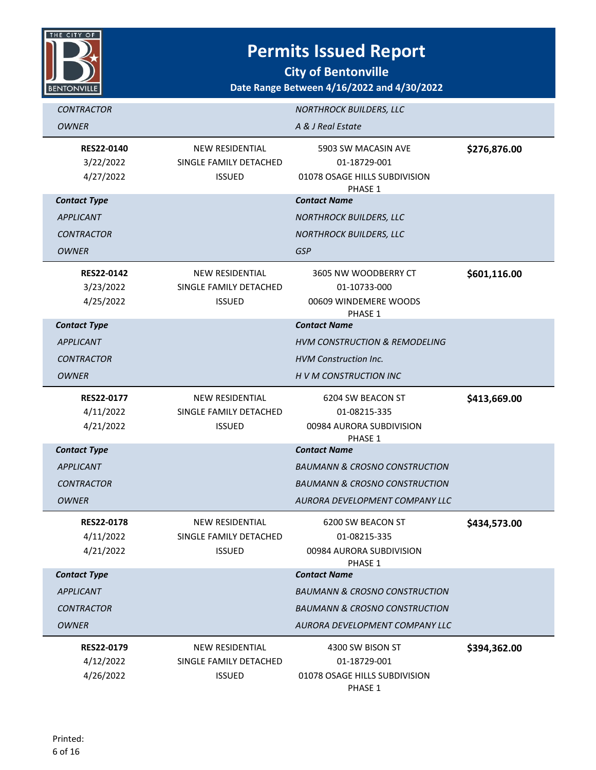

**City of Bentonville**

| <b>CONTRACTOR</b>                       |                                         | <b>NORTHROCK BUILDERS, LLC</b>                |              |
|-----------------------------------------|-----------------------------------------|-----------------------------------------------|--------------|
| <b>OWNER</b>                            |                                         | A & J Real Estate                             |              |
| <b>RES22-0140</b>                       | <b>NEW RESIDENTIAL</b>                  | 5903 SW MACASIN AVE                           | \$276,876.00 |
| 3/22/2022<br>4/27/2022                  | SINGLE FAMILY DETACHED<br><b>ISSUED</b> | 01-18729-001<br>01078 OSAGE HILLS SUBDIVISION |              |
|                                         |                                         | PHASE 1                                       |              |
| <b>Contact Type</b>                     |                                         | <b>Contact Name</b>                           |              |
| <b>APPLICANT</b>                        |                                         | <b>NORTHROCK BUILDERS, LLC</b>                |              |
| <b>CONTRACTOR</b>                       |                                         | <b>NORTHROCK BUILDERS, LLC</b>                |              |
| <b>OWNER</b>                            |                                         | <b>GSP</b>                                    |              |
| <b>RES22-0142</b>                       | <b>NEW RESIDENTIAL</b>                  | 3605 NW WOODBERRY CT                          | \$601,116.00 |
| 3/23/2022                               | SINGLE FAMILY DETACHED                  | 01-10733-000                                  |              |
| 4/25/2022                               | <b>ISSUED</b>                           | 00609 WINDEMERE WOODS                         |              |
| <b>Contact Type</b>                     |                                         | PHASE 1<br><b>Contact Name</b>                |              |
| <b>APPLICANT</b>                        |                                         | <b>HVM CONSTRUCTION &amp; REMODELING</b>      |              |
| <b>CONTRACTOR</b>                       |                                         | <b>HVM Construction Inc.</b>                  |              |
| <b>OWNER</b>                            |                                         | H V M CONSTRUCTION INC                        |              |
| <b>RES22-0177</b>                       | <b>NEW RESIDENTIAL</b>                  | 6204 SW BEACON ST                             | \$413,669.00 |
| 4/11/2022                               | SINGLE FAMILY DETACHED                  | 01-08215-335                                  |              |
| 4/21/2022                               | <b>ISSUED</b>                           | 00984 AURORA SUBDIVISION                      |              |
|                                         |                                         | PHASE 1<br><b>Contact Name</b>                |              |
| <b>Contact Type</b><br><b>APPLICANT</b> |                                         | <b>BAUMANN &amp; CROSNO CONSTRUCTION</b>      |              |
|                                         |                                         |                                               |              |
| <b>CONTRACTOR</b>                       |                                         | <b>BAUMANN &amp; CROSNO CONSTRUCTION</b>      |              |
| <b>OWNER</b>                            |                                         | AURORA DEVELOPMENT COMPANY LLC                |              |
| <b>RES22-0178</b>                       | <b>NEW RESIDENTIAL</b>                  | 6200 SW BEACON ST                             | \$434,573.00 |
| 4/11/2022                               | SINGLE FAMILY DETACHED                  | 01-08215-335                                  |              |
| 4/21/2022                               | <b>ISSUED</b>                           | 00984 AURORA SUBDIVISION<br>PHASE 1           |              |
| <b>Contact Type</b>                     |                                         | <b>Contact Name</b>                           |              |
| <b>APPLICANT</b>                        |                                         | <b>BAUMANN &amp; CROSNO CONSTRUCTION</b>      |              |
| <b>CONTRACTOR</b>                       |                                         | <b>BAUMANN &amp; CROSNO CONSTRUCTION</b>      |              |
| <b>OWNER</b>                            |                                         | AURORA DEVELOPMENT COMPANY LLC                |              |
| RES22-0179                              | <b>NEW RESIDENTIAL</b>                  | 4300 SW BISON ST                              | \$394,362.00 |
| 4/12/2022                               | SINGLE FAMILY DETACHED                  | 01-18729-001                                  |              |
| 4/26/2022                               | <b>ISSUED</b>                           | 01078 OSAGE HILLS SUBDIVISION                 |              |
|                                         |                                         | PHASE 1                                       |              |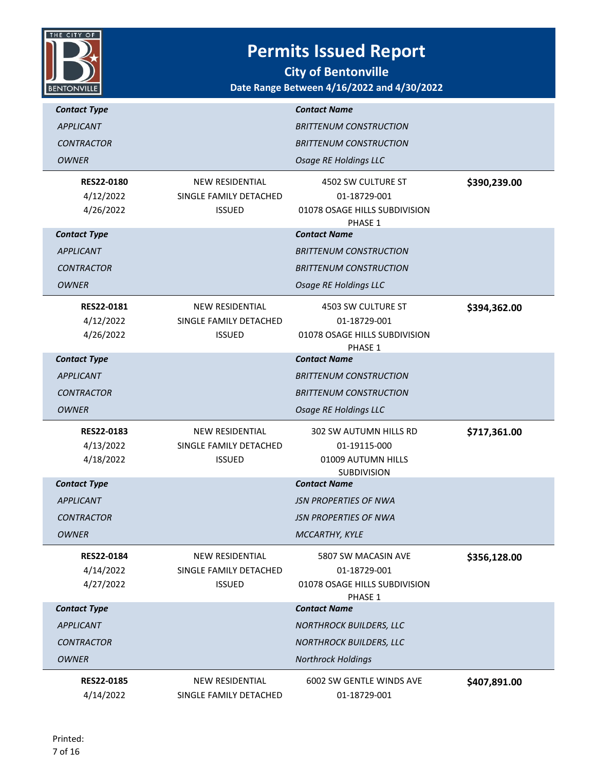

| <b>Contact Type</b>            |                                                  | <b>Contact Name</b>                       |              |
|--------------------------------|--------------------------------------------------|-------------------------------------------|--------------|
| <b>APPLICANT</b>               |                                                  | <b>BRITTENUM CONSTRUCTION</b>             |              |
| <b>CONTRACTOR</b>              |                                                  | <b>BRITTENUM CONSTRUCTION</b>             |              |
| <b>OWNER</b>                   |                                                  | <b>Osage RE Holdings LLC</b>              |              |
|                                |                                                  |                                           |              |
| <b>RES22-0180</b><br>4/12/2022 | <b>NEW RESIDENTIAL</b><br>SINGLE FAMILY DETACHED | 4502 SW CULTURE ST<br>01-18729-001        | \$390,239.00 |
| 4/26/2022                      | <b>ISSUED</b>                                    | 01078 OSAGE HILLS SUBDIVISION             |              |
|                                |                                                  | PHASE 1                                   |              |
| <b>Contact Type</b>            |                                                  | <b>Contact Name</b>                       |              |
| <b>APPLICANT</b>               |                                                  | <b>BRITTENUM CONSTRUCTION</b>             |              |
| <b>CONTRACTOR</b>              |                                                  | <b>BRITTENUM CONSTRUCTION</b>             |              |
| <b>OWNER</b>                   |                                                  | <b>Osage RE Holdings LLC</b>              |              |
| <b>RES22-0181</b>              | <b>NEW RESIDENTIAL</b>                           | 4503 SW CULTURE ST                        | \$394,362.00 |
| 4/12/2022                      | SINGLE FAMILY DETACHED                           | 01-18729-001                              |              |
| 4/26/2022                      | <b>ISSUED</b>                                    | 01078 OSAGE HILLS SUBDIVISION             |              |
|                                |                                                  | PHASE 1                                   |              |
| <b>Contact Type</b>            |                                                  | <b>Contact Name</b>                       |              |
| <b>APPLICANT</b>               |                                                  | <b>BRITTENUM CONSTRUCTION</b>             |              |
| <b>CONTRACTOR</b>              |                                                  | <b>BRITTENUM CONSTRUCTION</b>             |              |
|                                |                                                  |                                           |              |
| <b>OWNER</b>                   |                                                  | <b>Osage RE Holdings LLC</b>              |              |
| <b>RES22-0183</b>              | <b>NEW RESIDENTIAL</b>                           | 302 SW AUTUMN HILLS RD                    | \$717,361.00 |
| 4/13/2022                      | SINGLE FAMILY DETACHED                           | 01-19115-000                              |              |
| 4/18/2022                      | <b>ISSUED</b>                                    | 01009 AUTUMN HILLS                        |              |
| <b>Contact Type</b>            |                                                  | <b>SUBDIVISION</b><br><b>Contact Name</b> |              |
| <b>APPLICANT</b>               |                                                  | <b>JSN PROPERTIES OF NWA</b>              |              |
| <b>CONTRACTOR</b>              |                                                  | <i><b>JSN PROPERTIES OF NWA</b></i>       |              |
| <b>OWNER</b>                   |                                                  |                                           |              |
|                                |                                                  | MCCARTHY, KYLE                            |              |
| RES22-0184                     | NEW RESIDENTIAL                                  | 5807 SW MACASIN AVE                       | \$356,128.00 |
| 4/14/2022                      | SINGLE FAMILY DETACHED                           | 01-18729-001                              |              |
| 4/27/2022                      | <b>ISSUED</b>                                    | 01078 OSAGE HILLS SUBDIVISION<br>PHASE 1  |              |
| <b>Contact Type</b>            |                                                  | <b>Contact Name</b>                       |              |
| <b>APPLICANT</b>               |                                                  | <b>NORTHROCK BUILDERS, LLC</b>            |              |
| <b>CONTRACTOR</b>              |                                                  | <b>NORTHROCK BUILDERS, LLC</b>            |              |
| <b>OWNER</b>                   |                                                  | <b>Northrock Holdings</b>                 |              |
| RES22-0185                     | <b>NEW RESIDENTIAL</b>                           | 6002 SW GENTLE WINDS AVE                  | \$407,891.00 |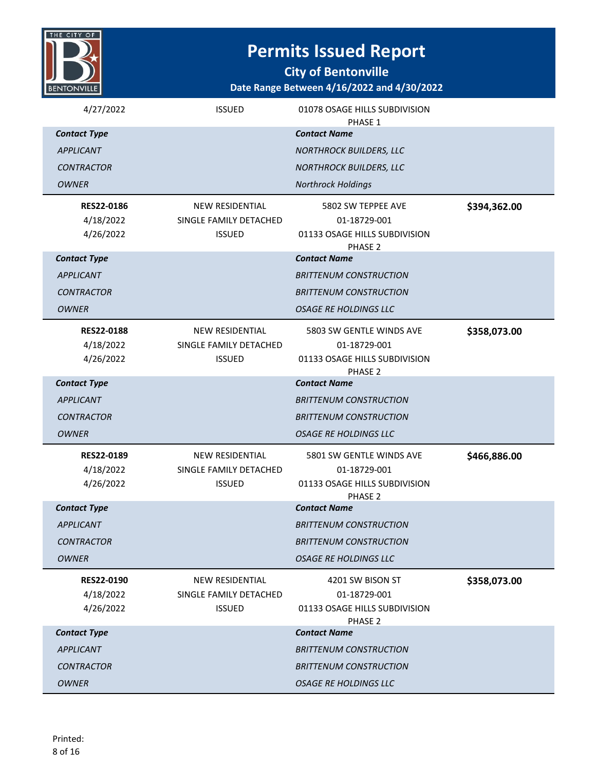

**City of Bentonville**

| 4/27/2022           | <b>ISSUED</b>          | 01078 OSAGE HILLS SUBDIVISION<br>PHASE 1 |              |
|---------------------|------------------------|------------------------------------------|--------------|
| <b>Contact Type</b> |                        | <b>Contact Name</b>                      |              |
| <b>APPLICANT</b>    |                        | <b>NORTHROCK BUILDERS, LLC</b>           |              |
| <b>CONTRACTOR</b>   |                        | <b>NORTHROCK BUILDERS, LLC</b>           |              |
| <b>OWNER</b>        |                        | <b>Northrock Holdings</b>                |              |
| <b>RES22-0186</b>   | <b>NEW RESIDENTIAL</b> | 5802 SW TEPPEE AVE                       | \$394,362.00 |
| 4/18/2022           | SINGLE FAMILY DETACHED | 01-18729-001                             |              |
| 4/26/2022           | <b>ISSUED</b>          | 01133 OSAGE HILLS SUBDIVISION<br>PHASE 2 |              |
| <b>Contact Type</b> |                        | <b>Contact Name</b>                      |              |
| <b>APPLICANT</b>    |                        | <b>BRITTENUM CONSTRUCTION</b>            |              |
| <b>CONTRACTOR</b>   |                        | <b>BRITTENUM CONSTRUCTION</b>            |              |
| <b>OWNER</b>        |                        | OSAGE RE HOLDINGS LLC                    |              |
| <b>RES22-0188</b>   | <b>NEW RESIDENTIAL</b> | 5803 SW GENTLE WINDS AVE                 | \$358,073.00 |
| 4/18/2022           | SINGLE FAMILY DETACHED | 01-18729-001                             |              |
| 4/26/2022           | <b>ISSUED</b>          | 01133 OSAGE HILLS SUBDIVISION<br>PHASE 2 |              |
| <b>Contact Type</b> |                        | <b>Contact Name</b>                      |              |
| <b>APPLICANT</b>    |                        | <b>BRITTENUM CONSTRUCTION</b>            |              |
| <b>CONTRACTOR</b>   |                        | <b>BRITTENUM CONSTRUCTION</b>            |              |
| <b>OWNER</b>        |                        | <b>OSAGE RE HOLDINGS LLC</b>             |              |
| RES22-0189          | <b>NEW RESIDENTIAL</b> | 5801 SW GENTLE WINDS AVE                 | \$466,886.00 |
| 4/18/2022           | SINGLE FAMILY DETACHED | 01-18729-001                             |              |
| 4/26/2022           | <b>ISSUED</b>          | 01133 OSAGE HILLS SUBDIVISION<br>PHASE 2 |              |
| <b>Contact Type</b> |                        | <b>Contact Name</b>                      |              |
| <b>APPLICANT</b>    |                        | <b>BRITTENUM CONSTRUCTION</b>            |              |
| <b>CONTRACTOR</b>   |                        | <b>BRITTENUM CONSTRUCTION</b>            |              |
| <b>OWNER</b>        |                        | <b>OSAGE RE HOLDINGS LLC</b>             |              |
| RES22-0190          | <b>NEW RESIDENTIAL</b> | 4201 SW BISON ST                         | \$358,073.00 |
| 4/18/2022           | SINGLE FAMILY DETACHED | 01-18729-001                             |              |
| 4/26/2022           | <b>ISSUED</b>          | 01133 OSAGE HILLS SUBDIVISION<br>PHASE 2 |              |
| <b>Contact Type</b> |                        | <b>Contact Name</b>                      |              |
| <b>APPLICANT</b>    |                        | <b>BRITTENUM CONSTRUCTION</b>            |              |
| <b>CONTRACTOR</b>   |                        | <b>BRITTENUM CONSTRUCTION</b>            |              |
|                     |                        |                                          |              |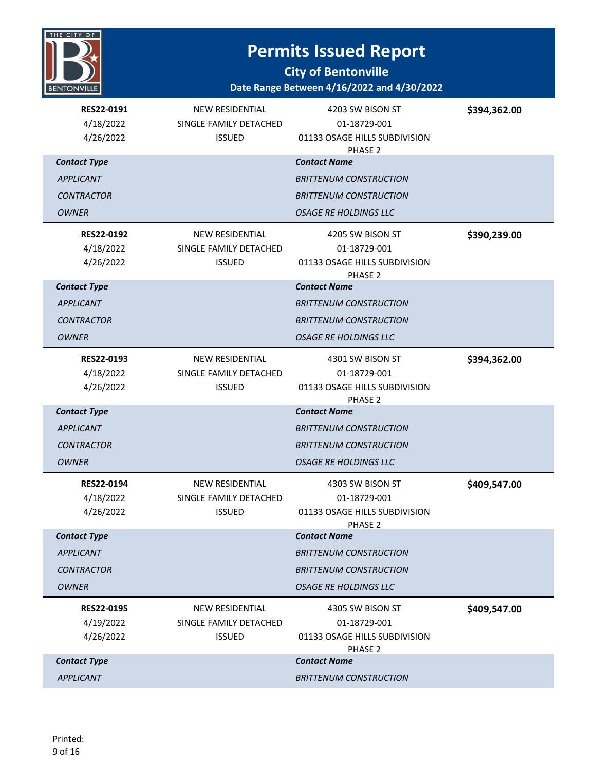

**City of Bentonville**

| RES22-0191<br>4/18/2022<br>4/26/2022 | <b>NEW RESIDENTIAL</b><br>SINGLE FAMILY DETACHED<br><b>ISSUED</b> | 4203 SW BISON ST<br>01-18729-001<br>01133 OSAGE HILLS SUBDIVISION<br>PHASE 2 | \$394,362.00 |
|--------------------------------------|-------------------------------------------------------------------|------------------------------------------------------------------------------|--------------|
| <b>Contact Type</b>                  |                                                                   | <b>Contact Name</b>                                                          |              |
| <b>APPLICANT</b>                     |                                                                   | <b>BRITTENUM CONSTRUCTION</b>                                                |              |
| <b>CONTRACTOR</b>                    |                                                                   | <b>BRITTENUM CONSTRUCTION</b>                                                |              |
| <b>OWNER</b>                         |                                                                   | <b>OSAGE RE HOLDINGS LLC</b>                                                 |              |
| <b>RES22-0192</b>                    | <b>NEW RESIDENTIAL</b>                                            | 4205 SW BISON ST                                                             | \$390,239.00 |
| 4/18/2022                            | SINGLE FAMILY DETACHED                                            | 01-18729-001                                                                 |              |
| 4/26/2022                            | <b>ISSUED</b>                                                     | 01133 OSAGE HILLS SUBDIVISION<br>PHASE 2                                     |              |
| <b>Contact Type</b>                  |                                                                   | <b>Contact Name</b>                                                          |              |
| <b>APPLICANT</b>                     |                                                                   | <b>BRITTENUM CONSTRUCTION</b>                                                |              |
| <b>CONTRACTOR</b>                    |                                                                   | <b>BRITTENUM CONSTRUCTION</b>                                                |              |
| <b>OWNER</b>                         |                                                                   | <b>OSAGE RE HOLDINGS LLC</b>                                                 |              |
| RES22-0193                           | NEW RESIDENTIAL                                                   | 4301 SW BISON ST                                                             | \$394,362.00 |
| 4/18/2022                            | SINGLE FAMILY DETACHED                                            | 01-18729-001                                                                 |              |
| 4/26/2022                            | <b>ISSUED</b>                                                     | 01133 OSAGE HILLS SUBDIVISION                                                |              |
| <b>Contact Type</b>                  |                                                                   | PHASE 2<br><b>Contact Name</b>                                               |              |
| <b>APPLICANT</b>                     |                                                                   | <b>BRITTENUM CONSTRUCTION</b>                                                |              |
| <b>CONTRACTOR</b>                    |                                                                   | <b>BRITTENUM CONSTRUCTION</b>                                                |              |
| <b>OWNER</b>                         |                                                                   | <b>OSAGE RE HOLDINGS LLC</b>                                                 |              |
| RES22-0194                           | <b>NEW RESIDENTIAL</b>                                            | 4303 SW BISON ST                                                             | \$409,547.00 |
| 4/18/2022                            | SINGLE FAMILY DETACHED                                            | 01-18729-001                                                                 |              |
| 4/26/2022                            | <b>ISSUED</b>                                                     | 01133 OSAGE HILLS SUBDIVISION<br>PHASE 2                                     |              |
| <b>Contact Type</b>                  |                                                                   | <b>Contact Name</b>                                                          |              |
| <b>APPLICANT</b>                     |                                                                   | <b>BRITTENUM CONSTRUCTION</b>                                                |              |
| <b>CONTRACTOR</b>                    |                                                                   | <b>BRITTENUM CONSTRUCTION</b>                                                |              |
| <b>OWNER</b>                         |                                                                   | <b>OSAGE RE HOLDINGS LLC</b>                                                 |              |
| <b>RES22-0195</b>                    | <b>NEW RESIDENTIAL</b>                                            | 4305 SW BISON ST                                                             | \$409,547.00 |
| 4/19/2022                            | SINGLE FAMILY DETACHED                                            | 01-18729-001                                                                 |              |
| 4/26/2022                            | <b>ISSUED</b>                                                     | 01133 OSAGE HILLS SUBDIVISION<br>PHASE 2                                     |              |
| <b>Contact Type</b>                  |                                                                   | <b>Contact Name</b>                                                          |              |
| <b>APPLICANT</b>                     |                                                                   | <b>BRITTENUM CONSTRUCTION</b>                                                |              |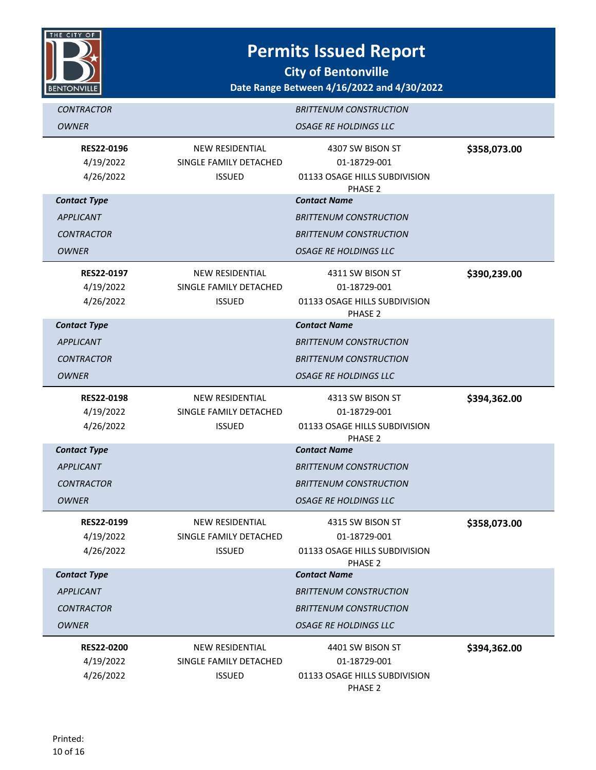

**City of Bentonville**

| <b>CONTRACTOR</b><br>OWNER                  |                                                                   | <b>BRITTENUM CONSTRUCTION</b><br><b>OSAGE RE HOLDINGS LLC</b>                           |              |
|---------------------------------------------|-------------------------------------------------------------------|-----------------------------------------------------------------------------------------|--------------|
| <b>RES22-0196</b><br>4/19/2022<br>4/26/2022 | <b>NEW RESIDENTIAL</b><br>SINGLE FAMILY DETACHED<br><b>ISSUED</b> | 4307 SW BISON ST<br>01-18729-001<br>01133 OSAGE HILLS SUBDIVISION<br>PHASE <sub>2</sub> | \$358,073.00 |
| <b>Contact Type</b>                         |                                                                   | <b>Contact Name</b>                                                                     |              |
| <b>APPLICANT</b>                            |                                                                   | <b>BRITTENUM CONSTRUCTION</b>                                                           |              |
| <b>CONTRACTOR</b>                           |                                                                   | <b>BRITTENUM CONSTRUCTION</b>                                                           |              |
| <b>OWNER</b>                                |                                                                   | <b>OSAGE RE HOLDINGS LLC</b>                                                            |              |
| <b>RES22-0197</b>                           | <b>NEW RESIDENTIAL</b>                                            | 4311 SW BISON ST                                                                        | \$390,239.00 |
| 4/19/2022                                   | SINGLE FAMILY DETACHED                                            | 01-18729-001                                                                            |              |
| 4/26/2022                                   | <b>ISSUED</b>                                                     | 01133 OSAGE HILLS SUBDIVISION<br>PHASE 2                                                |              |
| <b>Contact Type</b>                         |                                                                   | <b>Contact Name</b>                                                                     |              |
| <b>APPLICANT</b>                            |                                                                   | <b>BRITTENUM CONSTRUCTION</b>                                                           |              |
| <b>CONTRACTOR</b>                           |                                                                   | <b>BRITTENUM CONSTRUCTION</b>                                                           |              |
| OWNER                                       |                                                                   | <b>OSAGE RE HOLDINGS LLC</b>                                                            |              |
| <b>RES22-0198</b><br>4/19/2022              | NEW RESIDENTIAL<br>SINGLE FAMILY DETACHED                         | 4313 SW BISON ST<br>01-18729-001                                                        | \$394,362.00 |
| 4/26/2022                                   | <b>ISSUED</b>                                                     | 01133 OSAGE HILLS SUBDIVISION                                                           |              |
|                                             |                                                                   | PHASE 2                                                                                 |              |
| <b>Contact Type</b>                         |                                                                   | <b>Contact Name</b>                                                                     |              |
| <b>APPLICANT</b>                            |                                                                   | <b>BRITTENUM CONSTRUCTION</b>                                                           |              |
| <b>CONTRACTOR</b>                           |                                                                   | <b>BRITTENUM CONSTRUCTION</b>                                                           |              |
| <b>OWNER</b>                                |                                                                   | <b>OSAGE RE HOLDINGS LLC</b>                                                            |              |
| RES22-0199                                  | <b>NEW RESIDENTIAL</b>                                            | 4315 SW BISON ST                                                                        | \$358,073.00 |
| 4/19/2022                                   | SINGLE FAMILY DETACHED                                            | 01-18729-001                                                                            |              |
| 4/26/2022                                   | <b>ISSUED</b>                                                     | 01133 OSAGE HILLS SUBDIVISION<br>PHASE <sub>2</sub>                                     |              |
| <b>Contact Type</b>                         |                                                                   | <b>Contact Name</b>                                                                     |              |
| <b>APPLICANT</b>                            |                                                                   | <b>BRITTENUM CONSTRUCTION</b>                                                           |              |
| <b>CONTRACTOR</b>                           |                                                                   | <b>BRITTENUM CONSTRUCTION</b>                                                           |              |
| <b>OWNER</b>                                |                                                                   | <b>OSAGE RE HOLDINGS LLC</b>                                                            |              |
| <b>RES22-0200</b>                           | <b>NEW RESIDENTIAL</b>                                            | 4401 SW BISON ST                                                                        | \$394,362.00 |
| 4/19/2022                                   | SINGLE FAMILY DETACHED                                            | 01-18729-001                                                                            |              |
| 4/26/2022                                   | <b>ISSUED</b>                                                     | 01133 OSAGE HILLS SUBDIVISION<br>PHASE 2                                                |              |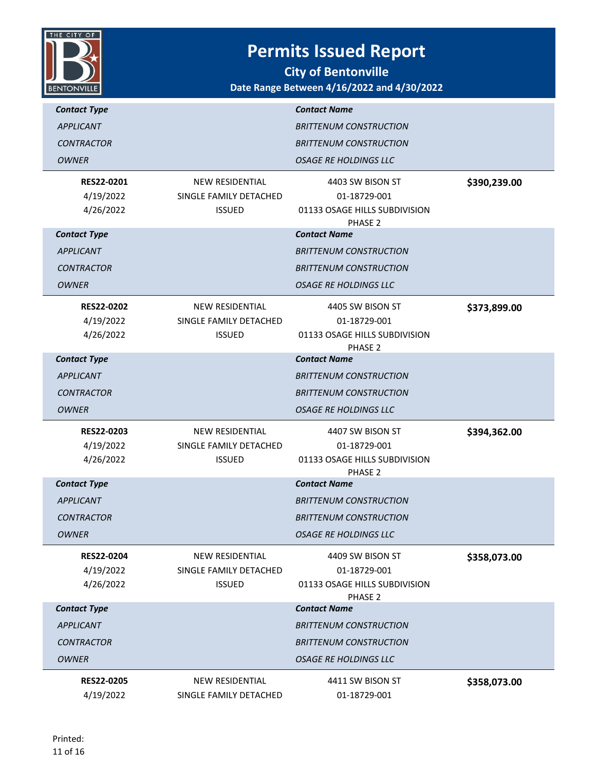

| <b>Contact Type</b>    |                                         | <b>Contact Name</b>                           |              |
|------------------------|-----------------------------------------|-----------------------------------------------|--------------|
| <b>APPLICANT</b>       |                                         | <b>BRITTENUM CONSTRUCTION</b>                 |              |
| <b>CONTRACTOR</b>      |                                         | <b>BRITTENUM CONSTRUCTION</b>                 |              |
| <b>OWNER</b>           |                                         | <b>OSAGE RE HOLDINGS LLC</b>                  |              |
|                        |                                         |                                               |              |
| <b>RES22-0201</b>      | <b>NEW RESIDENTIAL</b>                  | 4403 SW BISON ST                              | \$390,239.00 |
| 4/19/2022<br>4/26/2022 | SINGLE FAMILY DETACHED<br><b>ISSUED</b> | 01-18729-001<br>01133 OSAGE HILLS SUBDIVISION |              |
|                        |                                         | PHASE 2                                       |              |
| <b>Contact Type</b>    |                                         | <b>Contact Name</b>                           |              |
| <b>APPLICANT</b>       |                                         | <b>BRITTENUM CONSTRUCTION</b>                 |              |
| <b>CONTRACTOR</b>      |                                         | <b>BRITTENUM CONSTRUCTION</b>                 |              |
| <b>OWNER</b>           |                                         | <b>OSAGE RE HOLDINGS LLC</b>                  |              |
| <b>RES22-0202</b>      | <b>NEW RESIDENTIAL</b>                  | 4405 SW BISON ST                              | \$373,899.00 |
| 4/19/2022              | SINGLE FAMILY DETACHED                  | 01-18729-001                                  |              |
| 4/26/2022              | <b>ISSUED</b>                           | 01133 OSAGE HILLS SUBDIVISION                 |              |
| <b>Contact Type</b>    |                                         | PHASE 2<br><b>Contact Name</b>                |              |
|                        |                                         |                                               |              |
| <b>APPLICANT</b>       |                                         | <b>BRITTENUM CONSTRUCTION</b>                 |              |
| <b>CONTRACTOR</b>      |                                         | <b>BRITTENUM CONSTRUCTION</b>                 |              |
| <b>OWNER</b>           |                                         | <i><b>OSAGE RE HOLDINGS LLC</b></i>           |              |
|                        |                                         |                                               |              |
| <b>RES22-0203</b>      | <b>NEW RESIDENTIAL</b>                  | 4407 SW BISON ST                              | \$394,362.00 |
| 4/19/2022              | SINGLE FAMILY DETACHED                  | 01-18729-001                                  |              |
| 4/26/2022              | <b>ISSUED</b>                           | 01133 OSAGE HILLS SUBDIVISION                 |              |
| <b>Contact Type</b>    |                                         | PHASE 2<br><b>Contact Name</b>                |              |
| <b>APPLICANT</b>       |                                         | <b>BRITTENUM CONSTRUCTION</b>                 |              |
| <b>CONTRACTOR</b>      |                                         | <b>BRITTENUM CONSTRUCTION</b>                 |              |
| <b>OWNER</b>           |                                         | <b>OSAGE RE HOLDINGS LLC</b>                  |              |
| <b>RES22-0204</b>      | <b>NEW RESIDENTIAL</b>                  | 4409 SW BISON ST                              | \$358,073.00 |
| 4/19/2022              | SINGLE FAMILY DETACHED                  | 01-18729-001                                  |              |
| 4/26/2022              | <b>ISSUED</b>                           | 01133 OSAGE HILLS SUBDIVISION<br>PHASE 2      |              |
| <b>Contact Type</b>    |                                         | <b>Contact Name</b>                           |              |
| <b>APPLICANT</b>       |                                         | <b>BRITTENUM CONSTRUCTION</b>                 |              |
| <b>CONTRACTOR</b>      |                                         | <b>BRITTENUM CONSTRUCTION</b>                 |              |
| <b>OWNER</b>           |                                         | <b>OSAGE RE HOLDINGS LLC</b>                  |              |
| <b>RES22-0205</b>      | <b>NEW RESIDENTIAL</b>                  | 4411 SW BISON ST                              | \$358,073.00 |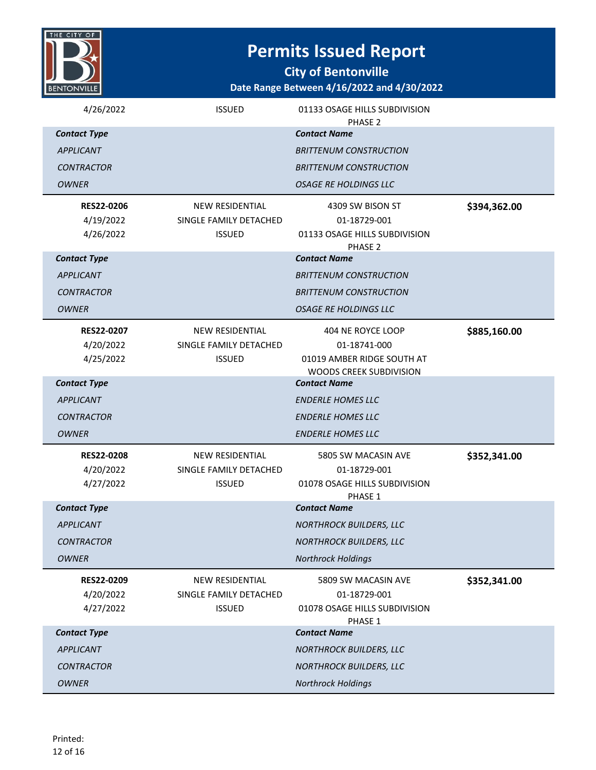

**City of Bentonville**

| 4/26/2022              | <b>ISSUED</b>                           | 01133 OSAGE HILLS SUBDIVISION                               |              |
|------------------------|-----------------------------------------|-------------------------------------------------------------|--------------|
| <b>Contact Type</b>    |                                         | PHASE 2<br><b>Contact Name</b>                              |              |
| <b>APPLICANT</b>       |                                         | <b>BRITTENUM CONSTRUCTION</b>                               |              |
| <b>CONTRACTOR</b>      |                                         | <b>BRITTENUM CONSTRUCTION</b>                               |              |
| <b>OWNER</b>           |                                         | <b>OSAGE RE HOLDINGS LLC</b>                                |              |
| <b>RES22-0206</b>      | <b>NEW RESIDENTIAL</b>                  | 4309 SW BISON ST                                            | \$394,362.00 |
| 4/19/2022              | SINGLE FAMILY DETACHED                  | 01-18729-001                                                |              |
| 4/26/2022              | <b>ISSUED</b>                           | 01133 OSAGE HILLS SUBDIVISION<br>PHASE <sub>2</sub>         |              |
| <b>Contact Type</b>    |                                         | <b>Contact Name</b>                                         |              |
| <b>APPLICANT</b>       |                                         | <b>BRITTENUM CONSTRUCTION</b>                               |              |
| <b>CONTRACTOR</b>      |                                         | <b>BRITTENUM CONSTRUCTION</b>                               |              |
| <b>OWNER</b>           |                                         | <b>OSAGE RE HOLDINGS LLC</b>                                |              |
| <b>RES22-0207</b>      | <b>NEW RESIDENTIAL</b>                  | 404 NE ROYCE LOOP                                           | \$885,160.00 |
| 4/20/2022              | SINGLE FAMILY DETACHED                  | 01-18741-000                                                |              |
| 4/25/2022              | <b>ISSUED</b>                           | 01019 AMBER RIDGE SOUTH AT                                  |              |
| <b>Contact Type</b>    |                                         | WOODS CREEK SUBDIVISION<br><b>Contact Name</b>              |              |
| APPLICANT              |                                         | <b>ENDERLE HOMES LLC</b>                                    |              |
| <b>CONTRACTOR</b>      |                                         | <b>ENDERLE HOMES LLC</b>                                    |              |
| <b>OWNER</b>           |                                         | <b>ENDERLE HOMES LLC</b>                                    |              |
| <b>RES22-0208</b>      | <b>NEW RESIDENTIAL</b>                  | 5805 SW MACASIN AVE                                         | \$352,341.00 |
| 4/20/2022              | SINGLE FAMILY DETACHED                  | 01-18729-001                                                |              |
| 4/27/2022              | <b>ISSUED</b>                           | 01078 OSAGE HILLS SUBDIVISION                               |              |
| <b>Contact Type</b>    |                                         | PHASE 1<br><b>Contact Name</b>                              |              |
| <b>APPLICANT</b>       |                                         | <b>NORTHROCK BUILDERS, LLC</b>                              |              |
|                        |                                         |                                                             |              |
| <b>CONTRACTOR</b>      |                                         | <b>NORTHROCK BUILDERS, LLC</b><br><b>Northrock Holdings</b> |              |
| <b>OWNER</b>           |                                         |                                                             |              |
| RES22-0209             | NEW RESIDENTIAL                         | 5809 SW MACASIN AVE                                         | \$352,341.00 |
| 4/20/2022<br>4/27/2022 | SINGLE FAMILY DETACHED<br><b>ISSUED</b> | 01-18729-001<br>01078 OSAGE HILLS SUBDIVISION               |              |
|                        |                                         | PHASE 1                                                     |              |
| <b>Contact Type</b>    |                                         | <b>Contact Name</b>                                         |              |
| <b>APPLICANT</b>       |                                         | <b>NORTHROCK BUILDERS, LLC</b>                              |              |
| <b>CONTRACTOR</b>      |                                         | <b>NORTHROCK BUILDERS, LLC</b>                              |              |
| <b>OWNER</b>           |                                         | <b>Northrock Holdings</b>                                   |              |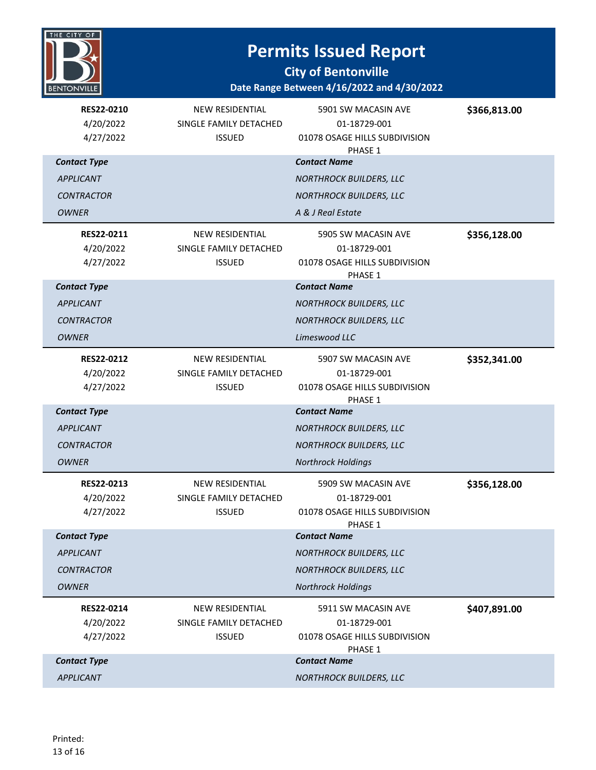

#### **City of Bentonville**

| RES22-0210<br>4/20/2022<br>4/27/2022 | <b>NEW RESIDENTIAL</b><br>SINGLE FAMILY DETACHED<br><b>ISSUED</b> | 5901 SW MACASIN AVE<br>01-18729-001<br>01078 OSAGE HILLS SUBDIVISION<br>PHASE 1 | \$366,813.00 |
|--------------------------------------|-------------------------------------------------------------------|---------------------------------------------------------------------------------|--------------|
| <b>Contact Type</b>                  |                                                                   | <b>Contact Name</b>                                                             |              |
| <b>APPLICANT</b>                     |                                                                   | <b>NORTHROCK BUILDERS, LLC</b>                                                  |              |
| <b>CONTRACTOR</b>                    |                                                                   | <b>NORTHROCK BUILDERS, LLC</b>                                                  |              |
| <b>OWNER</b>                         |                                                                   | A & J Real Estate                                                               |              |
| <b>RES22-0211</b>                    | <b>NEW RESIDENTIAL</b>                                            | 5905 SW MACASIN AVE                                                             | \$356,128.00 |
| 4/20/2022                            | SINGLE FAMILY DETACHED                                            | 01-18729-001                                                                    |              |
| 4/27/2022                            | <b>ISSUED</b>                                                     | 01078 OSAGE HILLS SUBDIVISION<br>PHASE 1                                        |              |
| <b>Contact Type</b>                  |                                                                   | <b>Contact Name</b>                                                             |              |
| <b>APPLICANT</b>                     |                                                                   | <b>NORTHROCK BUILDERS, LLC</b>                                                  |              |
| <b>CONTRACTOR</b>                    |                                                                   | <b>NORTHROCK BUILDERS, LLC</b>                                                  |              |
| <b>OWNER</b>                         |                                                                   | Limeswood LLC                                                                   |              |
| RES22-0212                           | <b>NEW RESIDENTIAL</b>                                            | 5907 SW MACASIN AVE                                                             | \$352,341.00 |
| 4/20/2022                            | SINGLE FAMILY DETACHED                                            | 01-18729-001                                                                    |              |
| 4/27/2022                            | <b>ISSUED</b>                                                     | 01078 OSAGE HILLS SUBDIVISION<br>PHASE 1                                        |              |
| <b>Contact Type</b>                  |                                                                   | <b>Contact Name</b>                                                             |              |
| <b>APPLICANT</b>                     |                                                                   | <b>NORTHROCK BUILDERS, LLC</b>                                                  |              |
| <b>CONTRACTOR</b>                    |                                                                   | <b>NORTHROCK BUILDERS, LLC</b>                                                  |              |
| <b>OWNER</b>                         |                                                                   | <b>Northrock Holdings</b>                                                       |              |
| RES22-0213                           | <b>NEW RESIDENTIAL</b>                                            | 5909 SW MACASIN AVE                                                             | \$356,128.00 |
| 4/20/2022                            | SINGLE FAMILY DETACHED                                            | 01-18729-001                                                                    |              |
| 4/27/2022                            | <b>ISSUED</b>                                                     | 01078 OSAGE HILLS SUBDIVISION<br>PHASE 1                                        |              |
| <b>Contact Type</b>                  |                                                                   | <b>Contact Name</b>                                                             |              |
| <b>APPLICANT</b>                     |                                                                   | <b>NORTHROCK BUILDERS, LLC</b>                                                  |              |
| <b>CONTRACTOR</b>                    |                                                                   | <b>NORTHROCK BUILDERS, LLC</b>                                                  |              |
| <b>OWNER</b>                         |                                                                   | <b>Northrock Holdings</b>                                                       |              |
| RES22-0214                           | <b>NEW RESIDENTIAL</b>                                            | 5911 SW MACASIN AVE                                                             | \$407,891.00 |
| 4/20/2022                            | SINGLE FAMILY DETACHED                                            | 01-18729-001                                                                    |              |
| 4/27/2022                            | <b>ISSUED</b>                                                     | 01078 OSAGE HILLS SUBDIVISION<br>PHASE 1                                        |              |
| <b>Contact Type</b>                  |                                                                   | <b>Contact Name</b>                                                             |              |
| <b>APPLICANT</b>                     |                                                                   | <b>NORTHROCK BUILDERS, LLC</b>                                                  |              |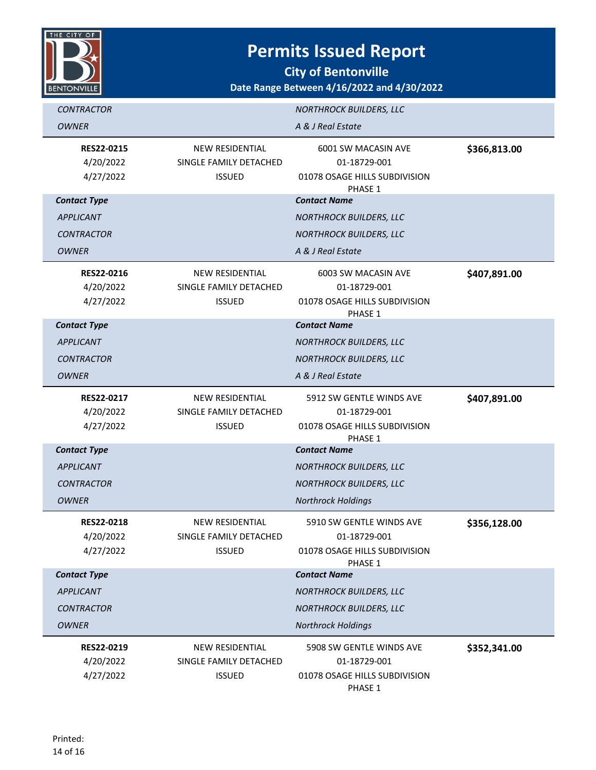

**City of Bentonville**

| <b>CONTRACTOR</b>                           |                                                                   | <b>NORTHROCK BUILDERS, LLC</b>                                                       |              |
|---------------------------------------------|-------------------------------------------------------------------|--------------------------------------------------------------------------------------|--------------|
| <b>OWNER</b>                                |                                                                   | A & J Real Estate                                                                    |              |
| RES22-0215<br>4/20/2022<br>4/27/2022        | <b>NEW RESIDENTIAL</b><br>SINGLE FAMILY DETACHED<br><b>ISSUED</b> | 6001 SW MACASIN AVE<br>01-18729-001<br>01078 OSAGE HILLS SUBDIVISION<br>PHASE 1      | \$366,813.00 |
| <b>Contact Type</b>                         |                                                                   | <b>Contact Name</b>                                                                  |              |
| APPLICANT                                   |                                                                   | <b>NORTHROCK BUILDERS, LLC</b>                                                       |              |
| <b>CONTRACTOR</b>                           |                                                                   | <b>NORTHROCK BUILDERS, LLC</b>                                                       |              |
| <b>OWNER</b>                                |                                                                   | A & J Real Estate                                                                    |              |
| <b>RES22-0216</b><br>4/20/2022<br>4/27/2022 | <b>NEW RESIDENTIAL</b><br>SINGLE FAMILY DETACHED<br><b>ISSUED</b> | 6003 SW MACASIN AVE<br>01-18729-001<br>01078 OSAGE HILLS SUBDIVISION<br>PHASE 1      | \$407,891.00 |
| <b>Contact Type</b>                         |                                                                   | <b>Contact Name</b>                                                                  |              |
| <b>APPLICANT</b>                            |                                                                   | <b>NORTHROCK BUILDERS, LLC</b>                                                       |              |
| <b>CONTRACTOR</b>                           |                                                                   | <b>NORTHROCK BUILDERS, LLC</b>                                                       |              |
| <b>OWNER</b>                                |                                                                   | A & J Real Estate                                                                    |              |
| RES22-0217<br>4/20/2022<br>4/27/2022        | <b>NEW RESIDENTIAL</b><br>SINGLE FAMILY DETACHED<br><b>ISSUED</b> | 5912 SW GENTLE WINDS AVE<br>01-18729-001<br>01078 OSAGE HILLS SUBDIVISION<br>PHASE 1 | \$407,891.00 |
| <b>Contact Type</b>                         |                                                                   | <b>Contact Name</b>                                                                  |              |
| <b>APPLICANT</b>                            |                                                                   | <b>NORTHROCK BUILDERS, LLC</b>                                                       |              |
| <b>CONTRACTOR</b>                           |                                                                   | <b>NORTHROCK BUILDERS, LLC</b>                                                       |              |
| <b>OWNER</b>                                |                                                                   | <b>Northrock Holdings</b>                                                            |              |
| <b>RES22-0218</b><br>4/20/2022<br>4/27/2022 | <b>NEW RESIDENTIAL</b><br>SINGLE FAMILY DETACHED<br><b>ISSUED</b> | 5910 SW GENTLE WINDS AVE<br>01-18729-001<br>01078 OSAGE HILLS SUBDIVISION<br>PHASE 1 | \$356,128.00 |
| <b>Contact Type</b>                         |                                                                   | <b>Contact Name</b>                                                                  |              |
| <b>APPLICANT</b>                            |                                                                   | <b>NORTHROCK BUILDERS, LLC</b>                                                       |              |
| <b>CONTRACTOR</b>                           |                                                                   | <b>NORTHROCK BUILDERS, LLC</b>                                                       |              |
| <b>OWNER</b>                                |                                                                   | <b>Northrock Holdings</b>                                                            |              |
| RES22-0219<br>4/20/2022<br>4/27/2022        | <b>NEW RESIDENTIAL</b><br>SINGLE FAMILY DETACHED<br><b>ISSUED</b> | 5908 SW GENTLE WINDS AVE<br>01-18729-001<br>01078 OSAGE HILLS SUBDIVISION<br>PHASE 1 | \$352,341.00 |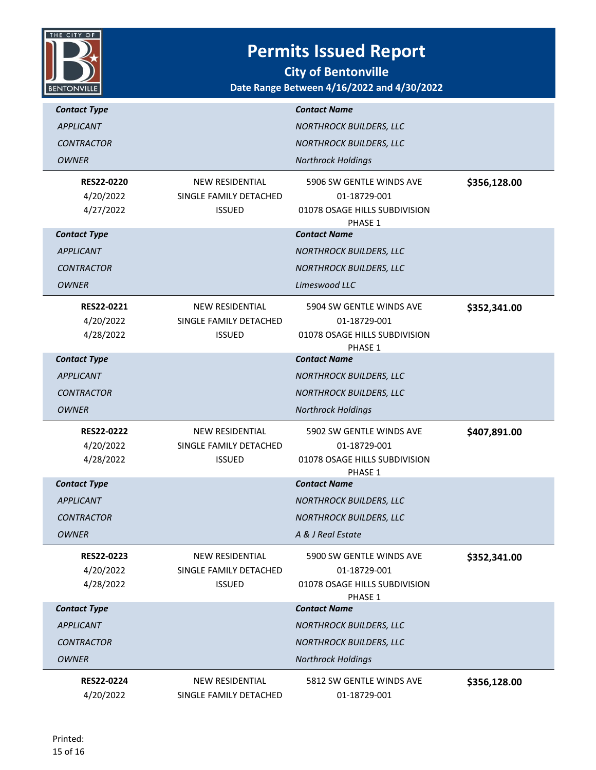

**City of Bentonville**

| <b>Contact Type</b>                         |                                                                   | <b>Contact Name</b>                                                                  |              |
|---------------------------------------------|-------------------------------------------------------------------|--------------------------------------------------------------------------------------|--------------|
| <b>APPLICANT</b>                            |                                                                   | <b>NORTHROCK BUILDERS, LLC</b>                                                       |              |
| <b>CONTRACTOR</b>                           |                                                                   | <b>NORTHROCK BUILDERS, LLC</b>                                                       |              |
| <b>OWNER</b>                                |                                                                   | <b>Northrock Holdings</b>                                                            |              |
| <b>RES22-0220</b><br>4/20/2022<br>4/27/2022 | <b>NEW RESIDENTIAL</b><br>SINGLE FAMILY DETACHED<br><b>ISSUED</b> | 5906 SW GENTLE WINDS AVE<br>01-18729-001<br>01078 OSAGE HILLS SUBDIVISION<br>PHASE 1 | \$356,128.00 |
| <b>Contact Type</b>                         |                                                                   | <b>Contact Name</b>                                                                  |              |
| <b>APPLICANT</b>                            |                                                                   | <b>NORTHROCK BUILDERS, LLC</b>                                                       |              |
| <b>CONTRACTOR</b>                           |                                                                   | <b>NORTHROCK BUILDERS, LLC</b>                                                       |              |
| <b>OWNER</b>                                |                                                                   | Limeswood LLC                                                                        |              |
| RES22-0221<br>4/20/2022<br>4/28/2022        | NEW RESIDENTIAL<br>SINGLE FAMILY DETACHED<br><b>ISSUED</b>        | 5904 SW GENTLE WINDS AVE<br>01-18729-001<br>01078 OSAGE HILLS SUBDIVISION<br>PHASE 1 | \$352,341.00 |
| <b>Contact Type</b>                         |                                                                   | <b>Contact Name</b>                                                                  |              |
| <b>APPLICANT</b>                            |                                                                   | <b>NORTHROCK BUILDERS, LLC</b>                                                       |              |
| <b>CONTRACTOR</b>                           |                                                                   | <b>NORTHROCK BUILDERS, LLC</b>                                                       |              |
|                                             |                                                                   |                                                                                      |              |
| <b>OWNER</b>                                |                                                                   | <b>Northrock Holdings</b>                                                            |              |
| <b>RES22-0222</b><br>4/20/2022<br>4/28/2022 | <b>NEW RESIDENTIAL</b><br>SINGLE FAMILY DETACHED<br><b>ISSUED</b> | 5902 SW GENTLE WINDS AVE<br>01-18729-001<br>01078 OSAGE HILLS SUBDIVISION            | \$407,891.00 |
| <b>Contact Type</b>                         |                                                                   | PHASE 1<br><b>Contact Name</b>                                                       |              |
| <b>APPLICANT</b>                            |                                                                   | <b>NORTHROCK BUILDERS, LLC</b>                                                       |              |
| <b>CONTRACTOR</b>                           |                                                                   | <b>NORTHROCK BUILDERS, LLC</b>                                                       |              |
| <b>OWNER</b>                                |                                                                   | A & J Real Estate                                                                    |              |
| RES22-0223<br>4/20/2022<br>4/28/2022        | <b>NEW RESIDENTIAL</b><br>SINGLE FAMILY DETACHED<br><b>ISSUED</b> | 5900 SW GENTLE WINDS AVE<br>01-18729-001<br>01078 OSAGE HILLS SUBDIVISION<br>PHASE 1 | \$352,341.00 |
| <b>Contact Type</b>                         |                                                                   | <b>Contact Name</b>                                                                  |              |
| <b>APPLICANT</b>                            |                                                                   | <b>NORTHROCK BUILDERS, LLC</b>                                                       |              |
| <b>CONTRACTOR</b>                           |                                                                   | <b>NORTHROCK BUILDERS, LLC</b>                                                       |              |
| <b>OWNER</b>                                |                                                                   | <b>Northrock Holdings</b>                                                            |              |